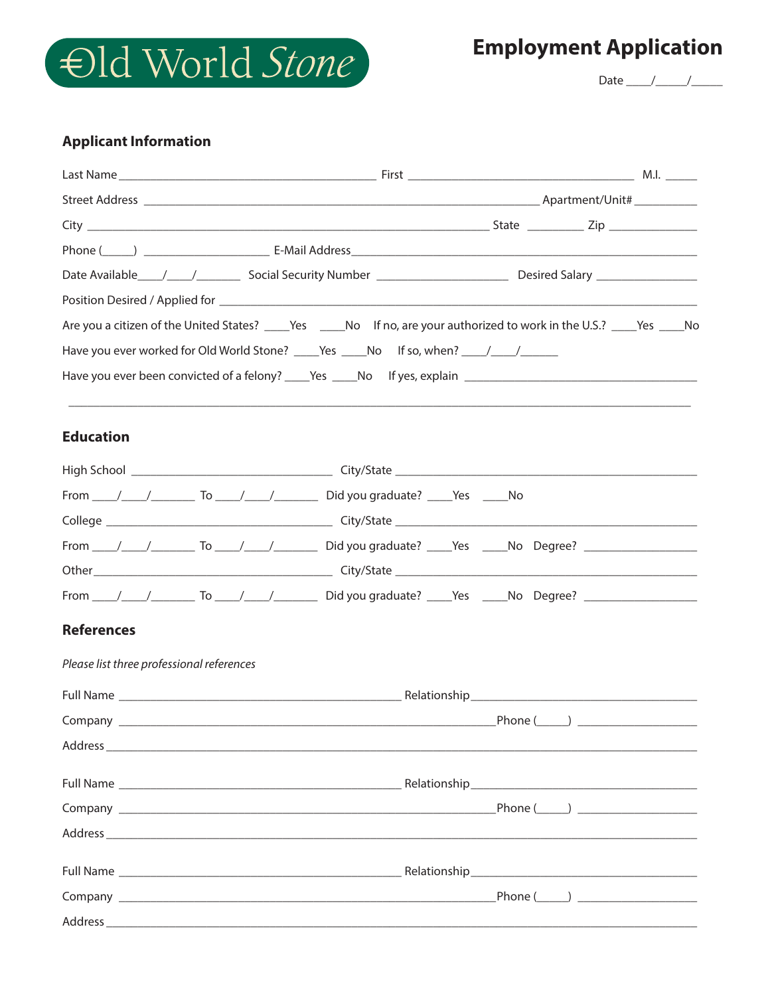

## **Employment Application**

Date  $\frac{1}{\sqrt{1-\frac{1}{2}}}$ 

## **Applicant Information**

| Have you ever worked for Old World Stone? ______Yes ______No If so, when? _____/ _____/                        |                    |  |
|----------------------------------------------------------------------------------------------------------------|--------------------|--|
| Have you ever been convicted of a felony? ______Yes ______No lf yes, explain _________________________________ |                    |  |
| <b>Education</b>                                                                                               |                    |  |
|                                                                                                                |                    |  |
|                                                                                                                |                    |  |
|                                                                                                                |                    |  |
|                                                                                                                |                    |  |
|                                                                                                                |                    |  |
|                                                                                                                |                    |  |
| <b>References</b>                                                                                              |                    |  |
| Please list three professional references                                                                      |                    |  |
|                                                                                                                |                    |  |
| Company                                                                                                        | Phone $(\_\_\_\_)$ |  |
|                                                                                                                |                    |  |
|                                                                                                                |                    |  |
|                                                                                                                |                    |  |
|                                                                                                                |                    |  |
|                                                                                                                |                    |  |
|                                                                                                                |                    |  |
|                                                                                                                |                    |  |